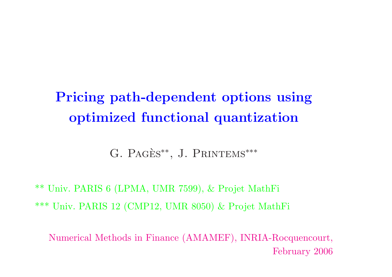# **Pricing path-dependent options using optimized functional quantization**

G. PAGÈS<sup>\*\*</sup>, J. PRINTEMS<sup>\*\*\*</sup>

\*\* Univ. PARIS <sup>6</sup> (LPMA, UMR 7599), & Projet MathFi \*\*\* Univ. PARIS <sup>12</sup> (CMP12, UMR 8050) & Projet MathFi

Numerical Methods in Finance (AMAMEF), INRIA-Rocquencourt, February 2006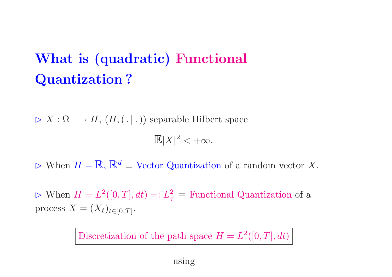# **What is (quadratic) Functional Quantization ?**

 $\triangleright X : \Omega \longrightarrow H, (H, ( | . | ) )$  separable Hilbert space  $\mathbb{E}|X|^2<+\infty.$ 

 $\triangleright$  When  $H = \mathbb{R}$ ,  $\mathbb{R}^d \equiv$  Vector Quantization of a random vector X.

 $\triangleright$  When  $H = L^2([0, T], dt) =: L$  $\frac{2}{T}$   $\equiv$  Functional Quantization of a  $\text{process } X = (X_t)_{t \in [0,T]}.$ 

Discretization of the path space  $H = L^2([0, T], dt)$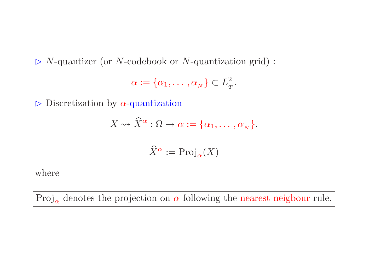*<sup>N</sup>*-quantizer (or *<sup>N</sup>*-codebook or *<sup>N</sup>*-quantization grid) :

$$
\alpha := \{\alpha_1, \dots, \alpha_N\} \subset L^2_T.
$$

 $\triangleright$  Discretization by  $\alpha$ -quantization

$$
X \rightsquigarrow \widehat{X}^{\alpha} : \Omega \rightarrow \alpha := \{\alpha_1, \dots, \alpha_N\}.
$$

$$
\widehat{X}^{\alpha}:=\mathrm{Proj}_{\alpha}(X)
$$

where

 $\text{Proj}_{\alpha}$  denotes the projection on  $\alpha$  following the nearest neigbour rule.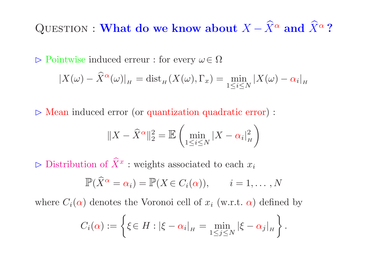$\mathbf{Q}\text{UESTION}: \mathbf{What\ do\ we\ know\ about}\ X-\widehat{X}$  $X^{\alpha}$  and  $X$ ᄉ *α* **?**

 Pointwise induced erreur : for every *<sup>ω</sup>*<sup>∈</sup> Ω  $|X(\omega) - \widehat X|$  $\frac{\alpha(\omega)}{H} = \operatorname{dist}_H (X(\omega), \Gamma_x) = \min_{1 \leq i \leq N} |X(\omega) - \alpha_i|_H$ 

 $\triangleright$  Mean induced error (or quantization quadratic error) :

$$
||X - \widehat{X}^{\alpha}||_2^2 = \mathbb{E}\left(\min_{1 \le i \le N} |X - \alpha_i|_H^2\right)
$$

 $\triangleright$  Distribution of X ᄉ *x* : weights associated to each *<sup>x</sup><sup>i</sup>*

$$
\mathbb{P}(\widehat{X}^{\alpha} = \alpha_i) = \mathbb{P}(X \in C_i(\alpha)), \qquad i = 1, \dots, N
$$

where  $C_i(\alpha)$  denotes the Voronoi cell of  $x_i$  (w.r.t.  $\alpha$ ) defined by

$$
C_i(\alpha) := \left\{ \xi \in H : |\xi - \alpha_i|_H = \min_{1 \leq j \leq N} |\xi - \alpha_j|_H \right\}.
$$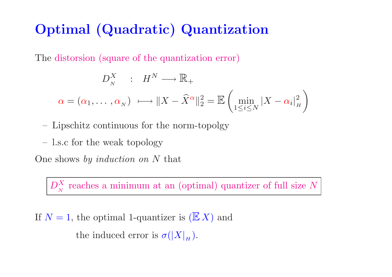#### **Optimal (Quadratic) Quantization**

The distorsion (square of the quantization error)

$$
D_N^X : H^N \longrightarrow \mathbb{R}_+
$$
  
\n
$$
\alpha = (\alpha_1, ..., \alpha_N) \longrightarrow ||X - \widehat{X}^{\alpha}||_2^2 = \mathbb{E} \left( \min_{1 \le i \le N} |X - \alpha_i|_H^2 \right)
$$

- Lipschitz continuous for the norm-topolgy
- –l.s.c for the weak topology

One shows by induction on *N* that

*D*  $\frac{X}{N}$  reaches a minimum at an (optimal) quantizer of full size N

If  $N=1$ , the optimal 1-quantizer is  $(\mathbb{E} X)$  and the induced error is  $\sigma(|X|_H)$ .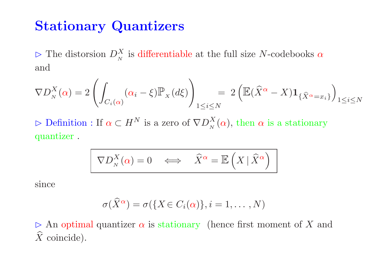#### **Stationary Quantizers**

 The distorsion *D*  $\frac{X}{N}$  is differentiable at the full size *N*-codebooks  $\alpha$ and

$$
\nabla D_N^X(\alpha) = 2\left(\int_{C_i(\alpha)} (\alpha_i - \xi) \mathbb{P}_X(d\xi)\right)_{1 \leq i \leq N} = 2\left(\mathbb{E}(\widehat{X}^{\alpha} - X) \mathbf{1}_{\{\widehat{X}^{\alpha} = x_i\}}\right)_{1 \leq i \leq N}
$$

 Definition : If *α* ⊂ *H N* is a zero of  $\nabla D$  $\frac{X}{N}(\alpha)$ , then  $\alpha$  is a stationary quantizer .

$$
\nabla D_N^X(\alpha) = 0 \quad \Longleftrightarrow \quad \widehat{X}^\alpha = \mathbb{E}\left(X \mid \widehat{X}^\alpha\right)
$$

 $\mathrm{since}$ 

$$
\sigma(\widehat{X}^{\alpha}) = \sigma(\{X \in C_i(\alpha)\}, i = 1, \dots, N)
$$

 $\triangleright$  An optimal quantizer  $\alpha$  is stationary (hence first moment of X and  $\widehat{X}$  coincide).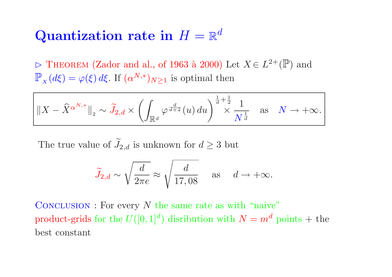#### $\bf{Quantization\ rate\ in\ }H=\mathbb{R}$ *d*

 $\triangleright$  THEOREM (Zador and al., of 1963 à 2000) Let  $X \in L^{2+}(\mathbb{P})$  and  $\mathbb{P}_{\scriptscriptstyle{X}}(d\xi) = \varphi(\xi)\,d\xi.$  If  $(\alpha^{N,*})$  $\big|_{N\geq 1}$  is optimal then

$$
\|X - \widehat{X}^{\alpha^{N,*}}\|_{2} \sim \widetilde{J}_{2,d} \times \left(\int_{\mathbb{R}^d} \varphi^{\frac{d}{d+2}}(u) du\right)^{\frac{1}{d} + \frac{1}{2}} \times \frac{1}{N^{\frac{1}{d}}} \quad \text{as} \quad N \to +\infty.
$$

The true value of *J*  $\widetilde{\phantom{m}}$  $\alpha_{2,d}$  is unknown for  $d\geq 3$  but

$$
\widetilde{J}_{2,d} \sim \sqrt{\frac{d}{2\pi e}} \approx \sqrt{\frac{d}{17,08}}
$$
 as  $d \to +\infty$ .

CONCLUSION : For every N the same rate as with "naive"  $\boldsymbol{p}$  product-grids for the  $U([0,1]^d)$ *f* distribution with  $N = m$  $d$  points + the best constant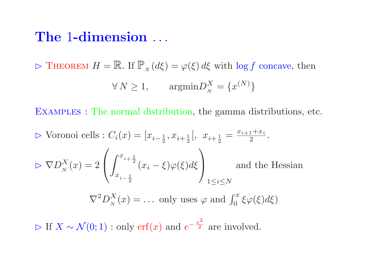#### **The** 1**-dimension** ...

 $\triangleright$  THEOREM  $H = \mathbb{R}$ . If  $\mathbb{P}_X(d\xi) = \varphi(\xi) d\xi$  with  $\log f$  concave, then  $\forall N \geq 1, \qquad \text{argmin} D_N^X = \{x^{(N)}\}$ 

Examples : The normal distribution, the gamma distributions, etc.

$$
\triangleright \text{ Voronoi cells}: C_i(x) = [x_{i-\frac{1}{2}}, x_{i+\frac{1}{2}}[, \ x_{i+\frac{1}{2}} = \frac{x_{i+1} + x_i}{2}.
$$
\n
$$
\triangleright \nabla D_N^X(x) = 2 \left( \int_{x_{i-\frac{1}{2}}}^{x_{i+\frac{1}{2}}} (x_i - \xi) \varphi(\xi) d\xi \right) \text{ and the Hessian}
$$
\n
$$
\nabla^2 D_N^X(x) = \dots \text{ only uses } \varphi \text{ and } \int_0^x \xi \varphi(\xi) d\xi
$$

 $\triangleright$  If  $X \sim \mathcal{N}(0, 1)$  : only  $\mathrm{erf}(x)$  and  $e^{-\frac{x^2}{2}}$  are involved.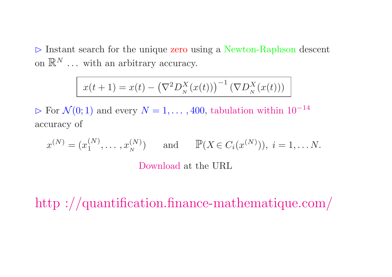$\triangleright$  Instant search for the unique zero using a Newton-Raphson descent on  $\mathbb{R}^N$  ... with an arbitrary accuracy.

$$
x(t+1) = x(t) - (\nabla^2 D_N^X(x(t)))^{-1} (\nabla D_N^X(x(t)))
$$

 $\triangleright$  For  $\mathcal{N}(0; 1)$  and every  $N = 1, \ldots, 400$ , tabulation within 10<sup>-14</sup> accuracy of

$$
x^{(N)} = (x_1^{(N)}, \dots, x_N^{(N)})
$$
 and 
$$
\mathbb{P}(X \in C_i(x^{(N)})), i = 1, \dots N.
$$
  
Download at the URL

http ://quantification.finance-mathematique.com/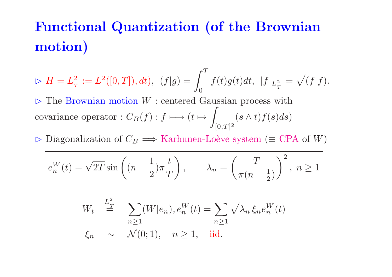### **Functional Quantization (of the Brownian motion)**

 $\triangleright$   $H=L_{_T}^2$  $\frac{2}{T} := L^2([0, T]), dt), \ \ (f|g) = \int_0^T f(t)g(t)dt, \ \ |f|_{L^2_T} = \sqrt{(f|f)}.$  $\triangleright$  The Brownian motion  $W$ : centered Gaussian process with covariance operator :  $C_B(f) : f \longmapsto (t \mapsto \int_{[0, T]^2} (s \wedge t) f(s) ds)$ 

 $\triangleright$  Diagonalization of  $C_B \Longrightarrow$  Karhunen-Loève system ( $\equiv$  CPA of *W*)

$$
e_n^W(t) = \sqrt{2T} \sin\left((n - \frac{1}{2})\pi \frac{t}{T}\right), \qquad \lambda_n = \left(\frac{T}{\pi(n - \frac{1}{2})}\right)^2, \ n \ge 1
$$

$$
W_t \stackrel{L_T^2}{=} \sum_{n \ge 1} (W|e_n)_2 e_n^W(t) = \sum_{n \ge 1} \sqrt{\lambda_n} \xi_n e_n^W(t)
$$
  

$$
\xi_n \sim \mathcal{N}(0; 1), \quad n \ge 1, \quad \text{iid.}
$$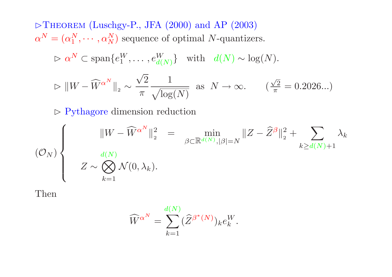$\triangleright$ THEOREM (Luschgy-P., JFA (2000) and AP (2003)  $\alpha^N = (\alpha_1^N, \cdots, \alpha_N^N)$  sequence of optimal *N*-quantizers.

 $P \propto \alpha^N \subset \text{span}\{e_1^W, \ldots, e_{d(N)}^W\}$  with  $d(N) \sim \log(N)$ .

$$
\triangleright \|W - \widehat{W}^{\alpha^N}\|_2 \sim \frac{\sqrt{2}}{\pi} \frac{1}{\sqrt{\log(N)}} \text{ as } N \to \infty. \qquad \left(\frac{\sqrt{2}}{\pi} = 0.2026...\right)
$$

 $\triangleright$  Pythagore dimension reduction

$$
(\mathcal{O}_N)\left\{\begin{array}{c}\|W-\widehat W^{\alpha^N}\|_2^2=\displaystyle\min_{\beta\in\mathbb{R}^{d(N)},|\beta|=N}\|Z-\widehat Z^{\beta}\|_2^2+\displaystyle\sum_{k\geq d(N)+1}\lambda_k\\ Z\sim\bigotimes_{k=1}^{d(N)}\mathcal{N}(0,\lambda_k).\end{array}\right.
$$

Then

$$
\widehat{W}^{\alpha^N} = \sum_{k=1}^{d(N)} (\widehat{Z}^{\beta^*(N)})_k e_k^W.
$$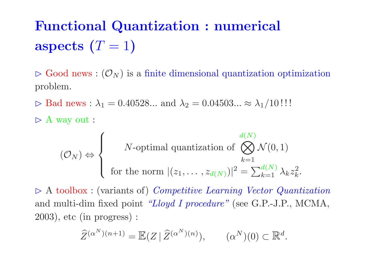# **Functional Quantization : numerical aspects**  $(T = 1)$

 $\triangleright$  Good news :  $(\mathcal{O}_N)$  is a finite dimensional quantization optimization problem.

 $\triangleright$  Bad news :  $\lambda_1 = 0.40528...$  and  $\lambda_2 = 0.04503... \approx \lambda_1/10$ !!!

 $\triangleright$  A way out :

$$
(\mathcal{O}_N) \Leftrightarrow \begin{cases} N\text{-optimal quantization of } \bigotimes_{k=1}^{d(N)} \mathcal{N}(0,1) \\ \text{for the norm } |(z_1,\ldots,z_{d(N)})|^2 = \sum_{k=1}^{d(N)} \lambda_k z_k^2. \end{cases}
$$

 $\triangleright$  A toolbox : (variants of) Competitive Learning Vector Quantization and multi-dim fixed point "Lloyd I procedure" (see G.P.-J.P., MCMA, 2003), etc (in progress) :

$$
\widehat{Z}^{(\alpha^N)(n+1)} = \mathbb{E}(Z \mid \widehat{Z}^{(\alpha^N)(n)}), \qquad (\alpha^N)(0) \subset \mathbb{R}^d.
$$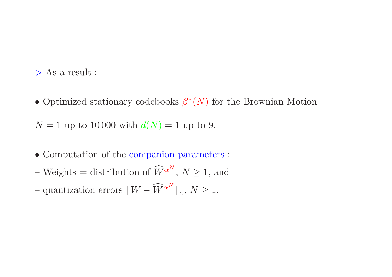$\triangleright$  As a result :

• Optimized stationary codebooks *β*∗(*N*) for the Brownian Motion

 $N = 1$  up to 10000 with  $d(N) = 1$  up to 9.

- Computation of the companion parameters :
- Weights <sup>=</sup> distribution of *W*  $\widehat{W}^{\alpha^N}, N \geq 1$ , and
- $-$  quantization errors  $||W \widehat{W}||$  $\alpha^N\big\|_2, \, N\geq 1.$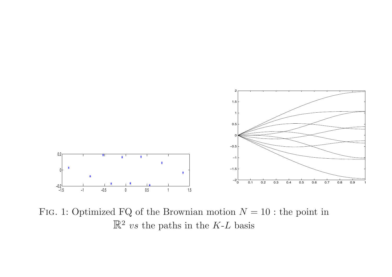

Fig. 1: Optimized FQ of the Brownian motion *N* <sup>=</sup> 10 : the point in R<sup>2</sup> *vs* the paths in the *K*-*L* basis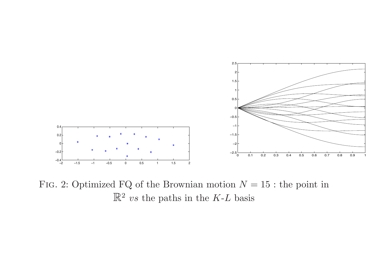

Fig. 2: Optimized FQ of the Brownian motion *N* <sup>=</sup> 15 : the point in R<sup>2</sup> *vs* the paths in the *K*-*L* basis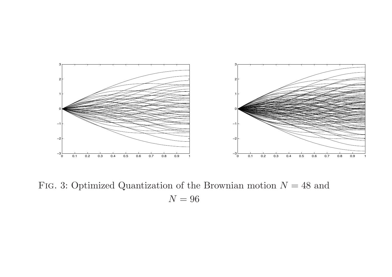

Fig. 3: Optimized Quantization of the Brownian motion *N* <sup>=</sup> 48 and  $N=96$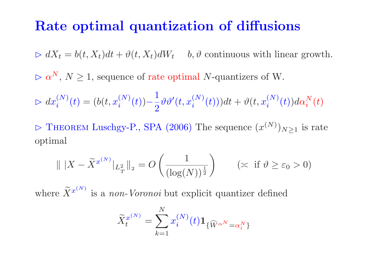#### **Rate optimal quantization of diffusions**

 $\triangleright dX_t = b(t, X_t)dt + \vartheta(t, X_t)dW_t$  *b,*  $\vartheta$  continuous with linear growth.

 $\triangleright$   $\alpha$  $N, N \geq 1$ , sequence of rate optimal *N*-quantizers of W.

$$
\triangleright dx_i^{(N)}(t) = (b(t, x_i^{(N)}(t)) - \frac{1}{2} \vartheta \vartheta'(t, x_i^{(N)}(t))) dt + \vartheta(t, x_i^{(N)}(t)) d\alpha_i^{N}(t)
$$

 $\triangleright$  THEOREM Luschgy-P., SPA (2006) The sequence  $(x^{(N)})_{N\geq 1}$  is rate optimal

$$
\| |X - \tilde{X}^{x^{(N)}}|_{L^2_T} \|_2 = O\left(\frac{1}{(\log(N))^{\frac{1}{2}}}\right) \qquad (\asymp \text{ if } \vartheta \ge \varepsilon_0 > 0)
$$

where  $\widetilde{X}^{x^{(N)}}$  is a *non-Voronoi* but explicit quantizer defined

$$
\widetilde{X}^{x^{(N)}}_t=\sum_{k=1}^N x^{(N)}_i(t)\mathbf{1}_{\{\widehat{W}^{\alpha^N}=\alpha^N_i\}}
$$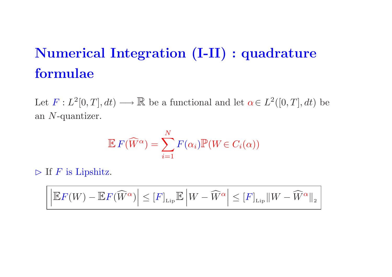# **Numerical Integration (I-II) : quadrature formulae**

Let  $F: L^2[0,T], dt) \longrightarrow \mathbb{R}$  be a functional and let  $\alpha \in L^2([0,T], dt)$  be an *N*-quantizer.

$$
\mathbb{E} F(\widehat{W}^{\alpha}) = \sum_{i=1}^{N} F(\alpha_i) \mathbb{P}(W \in C_i(\alpha))
$$

 $\triangleright$  If *F* is Lipshitz.

$$
\left| \mathbb{E} F(W) - \mathbb{E} F(\widehat{W}^\alpha) \right| \leq [F]_{\rm Lip} \mathbb{E} \left| W - \widehat{W}^\alpha \right| \leq [F]_{\rm Lip} \| W - \widehat{W}^\alpha \|_2
$$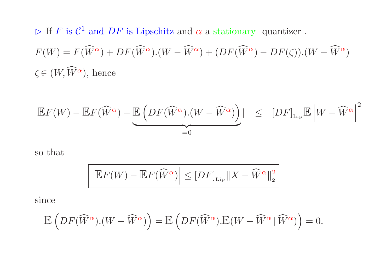$\triangleright$  If *F* is  $C^1$  and *DF* is Lipschitz and  $\alpha$  a stationary quantizer.  $F(W) = F(\widehat{W})$  $\alpha$  ) +  $DF(\widehat{W})$  $\alpha$ )*.*( $W-\widehat{W}$  $\alpha) + (DF(\widehat{W}$  $\alpha$ ) *– DF*(*ζ*)).( $W-\widehat{W}$ *α*)  $\zeta$   $\in$   $(W, \widehat{W})$ *<sup>α</sup>*), hence

$$
|\mathbb{E}F(W) - \mathbb{E}F(\widehat{W}^{\alpha}) - \underbrace{\mathbb{E}\left(DF(\widehat{W}^{\alpha})\cdot(W - \widehat{W}^{\alpha})\right)}_{=0}| \leq |DF|_{\text{Lip}}\mathbb{E}\left|W - \widehat{W}^{\alpha}\right|^{2}
$$

so that

$$
\left| \left| \mathbb{E} F(W) - \mathbb{E} F(\widehat{W}^{\alpha}) \right| \le [DF]_{\rm Lip} \| X - \widehat{W}^{\alpha} \|_{2}^{2} \right|
$$

 $\rm since$ 

$$
\mathbb{E}\left(DF(\widehat{W}^{\alpha})\cdot(W-\widehat{W}^{\alpha})\right)=\mathbb{E}\left(DF(\widehat{W}^{\alpha})\cdot\mathbb{E}(W-\widehat{W}^{\alpha}|\widehat{W}^{\alpha})\right)=0.
$$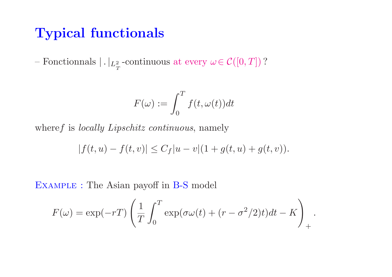#### **Typical functionals**

 $-$  Fonctionnals  $| \,.\, |_{L^2_T}$  -continuous at every  $\omega$   $\in \mathcal{C}([0,T])$  ?

$$
F(\omega) := \int_0^T f(t, \omega(t)) dt
$$

where f is *locally Lipschitz continuous*, namely

$$
|f(t, u) - f(t, v)| \le C_f |u - v|(1 + g(t, u) + g(t, v)).
$$

Example : The Asian payoff in B-S model

$$
F(\omega) = \exp(-rT) \left( \frac{1}{T} \int_0^T \exp(\sigma \omega(t) + (r - \sigma^2/2)t) dt - K \right)_+.
$$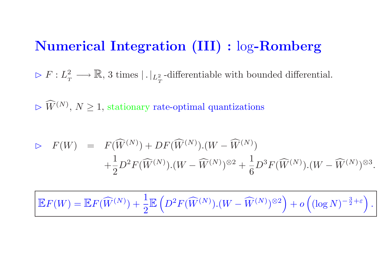#### **Numerical Integration (III) :** log**-Romberg**

 $\triangleright$   $F$  :  $L$  $\frac{2}{T}$  $\longrightarrow \mathbb{R}, \, 3 \text{ times } |$  .  $|_{L^2_T}$ -differentiable with bounded differential.

 $\triangleright \widehat{W}^{(N)}$ ,  $N \geq 1$ , stationary rate-optimal quantizations

$$
\triangleright F(W) = F(\widehat{W}^{(N)}) + DF(\widehat{W}^{(N)}).(W - \widehat{W}^{(N)}) + \frac{1}{2}D^2F(\widehat{W}^{(N)}).(W - \widehat{W}^{(N)})^{\otimes 2} + \frac{1}{6}D^3F(\widehat{W}^{(N)}).(W - \widehat{W}^{(N)})^{\otimes 3}.
$$

$$
\mathbb{E}F(W) = \mathbb{E}F(\widehat{W}^{(N)}) + \frac{1}{2}\mathbb{E}\left(D^2F(\widehat{W}^{(N)})(W - \widehat{W}^{(N)})^{\otimes 2}\right) + o\left((\log N)^{-\frac{3}{2}+\varepsilon}\right).
$$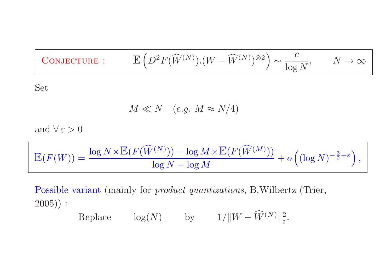$$
\boxed{\text{CONJECTURE:}} \qquad \mathbb{E}\left(D^2 F(\widehat{W}^{(N)}).(W - \widehat{W}^{(N)})^{\otimes 2}\right) \sim \frac{c}{\log N}, \qquad N \to \infty}
$$

Set

$$
M \ll N \quad (e.g. \; M \approx N/4)
$$

and  $\forall \, \varepsilon > 0$ 

$$
\mathbb{E}(F(W)) = \frac{\log N \times \mathbb{E}(F(\widehat{W}^{(N)})) - \log M \times \mathbb{E}(F(\widehat{W}^{(M)}))}{\log N - \log M} + o\left((\log N)^{-\frac{3}{2} + \varepsilon}\right),
$$

Possible variant (mainly for *product quantizations*, B.Wilbertz (Trier, 2005)) :

 $\text{Replace} \quad \log(N) \quad \text{by} \quad 1/\|W - \widehat{W}^{(N)}\|_2^2.$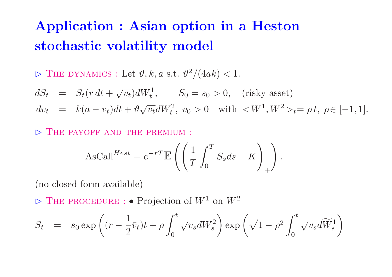### **Application : Asian option in <sup>a</sup> Heston stochastic volatility model**

 $\triangleright$  THE DYNAMICS : Let  $\vartheta, k, a \text{ s.t. } \vartheta$ 2  $/(4ak) < 1.$ 

 $dS_t = S_t(r dt + \sqrt{v_t})dW_t^1$ ,  $S_0 = s_0 > 0$ , (risky asset)  $dv_t = k(a - v_t)dt + \vartheta \sqrt{v_t}dW_t^2, v_0 > 0$  with  $\lt W$  $\mu^{1}, W^{2} >_{t} = \rho t, \ \rho \in [-1, 1].$ 

 $\triangleright$  THE PAYOFF AND THE PREMIUM :

$$
\text{AsCall}^{Hest} = e^{-rT} \mathbb{E}\left( \left( \frac{1}{T} \int_0^T S_s ds - K \right)_+ \right).
$$

(no closed form available)

 The procedure : • Projection of *W* 1 on *W* 2

$$
S_t = s_0 \exp\left( (r - \frac{1}{2}\bar{v}_t)t + \rho \int_0^t \sqrt{v_s} dW_s^2 \right) \exp\left( \sqrt{1 - \rho^2} \int_0^t \sqrt{v_s} d\widetilde{W}_s^1 \right)
$$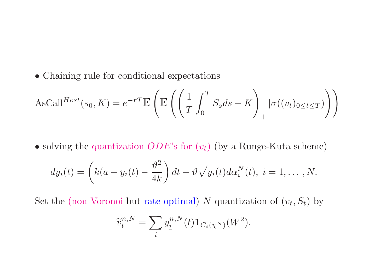• Chaining rule for conditional expectations

$$
\text{AsCall}^{Hest}(s_0, K) = e^{-rT} \mathbb{E}\left(\mathbb{E}\left(\left(\frac{1}{T} \int_0^T S_s ds - K\right)_+ |\sigma((v_t)_{0 \le t \le T})\right)\right)
$$

• solving the quantization *ODE*'s for (*<sup>v</sup>t*) (by <sup>a</sup> Runge-Kuta scheme)

$$
dy_i(t) = \left(k(a - y_i(t) - \frac{\vartheta^2}{4k}\right)dt + \vartheta\sqrt{y_i(t)}d\alpha_i^N(t), i = 1,\ldots,N.
$$

Set the (non-Voronoi but rate optimal) *N*-quantization of  $(v_t, S_t)$  by

$$
\widetilde{v}_t^{n,N} = \sum_{\underline{i}} y_{\underline{i}}^{n,N}(t) \mathbf{1}_{C_{\underline{i}}(\chi^N)}(W^2).
$$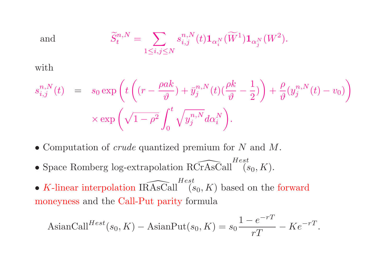and 
$$
\widetilde{S}_t^{n,N} = \sum_{1 \le i,j \le N} s_{i,j}^{n,N}(t) \mathbf{1}_{\alpha_i^N}(\widetilde{W}^1) \mathbf{1}_{\alpha_j^N}(W^2).
$$

 $\quad$ 

$$
s_{i,j}^{n,N}(t) = s_0 \exp\left(t\left((r - \frac{\rho a k}{\vartheta}) + \bar{y}_j^{n,N}(t)\left(\frac{\rho k}{\vartheta} - \frac{1}{2}\right)\right) + \frac{\rho}{\vartheta}(y_j^{n,N}(t) - v_0)\right)
$$

$$
\times \exp\left(\sqrt{1 - \rho^2} \int_0^t \sqrt{y_j^{n,N}} d\alpha_i^N\right).
$$

- Computation of crude quantized premium for *N* and *M*.
- Space Romberg log-extrapolation  $\widehat{RCTASCall}^{Hest}(s_0, K)$ .
- *K*-linear interpolation IRAsCall  $\widehat{K}_{(s_0,K)}$  based on the forward moneyness and the Call-Put parity formula

$$
\text{AsignCall}^{Hest}(s_0, K) - \text{AsignPut}(s_0, K) = s_0 \frac{1 - e^{-rT}}{rT} - Ke^{-rT}.
$$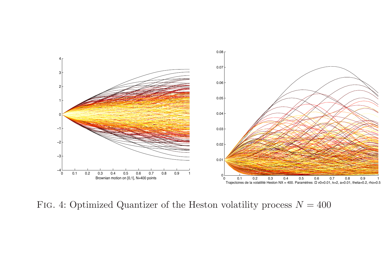

Fig. 4: Optimized Quantizer of the Heston volatility process *N* <sup>=</sup> 400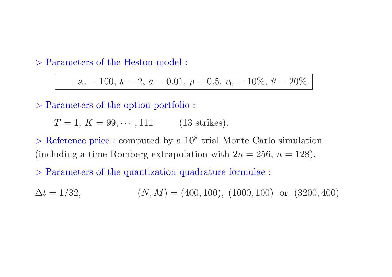$\triangleright$  Parameters of the Heston model :

 $s_0 = 100, \, k = 2, \, a = 0.01, \, \rho = 0.5, \, v_0 = 10\%, \, \vartheta = 20\%.$ 

 $\triangleright$  Parameters of the option portfolio :

 $T = 1, K = 99, \cdots, 111$  (13 strikes).

 $\triangleright$  Reference price : computed by a  $10^8$  trial Monte Carlo simulation (including a time Romberg extrapolation with  $2n = 256$ ,  $n = 128$ ).

 $\triangleright$  Parameters of the quantization quadrature formulae :

 $\Delta t = 1/32,$  $(N, M) = (400, 100), (1000, 100)$  or  $(3200, 400)$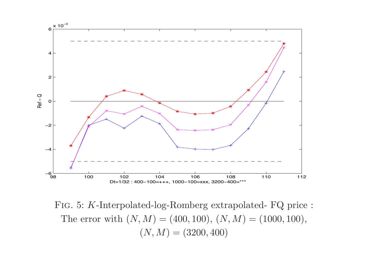

Fig. 5: *K*-Interpolated-log-Romberg extrapolated- FQ price : The error with  $(N, M) = (400, 100), (N, M) = (1000, 100),$  $(N, M) = (3200, 400)$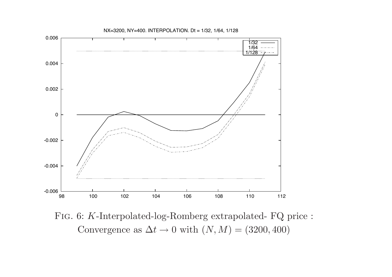

Fig. 6: *K*-Interpolated-log-Romberg extrapolated- FQ price : Convergence as  $\Delta t \rightarrow 0$  with  $(N, M) = (3200, 400)$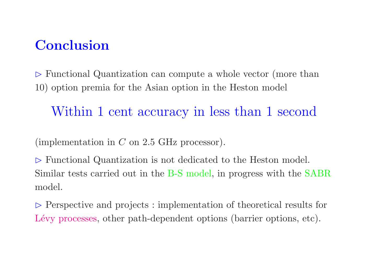#### **Conclusion**

 $\triangleright$  Functional Quantization can compute a whole vector (more than 10) option premia for the Asian option in the Heston model

#### Within 1 cent accuracy in less than 1 second

(implementation in *C* on 2.5 GHz processor).

 $\triangleright$  Functional Quantization is not dedicated to the Heston model. Similar tests carried out in the B-S model, in progress with the SABR model.

 $\triangleright$  Perspective and projects : implementation of theoretical results for Lévy processes, other path-dependent options (barrier options, etc).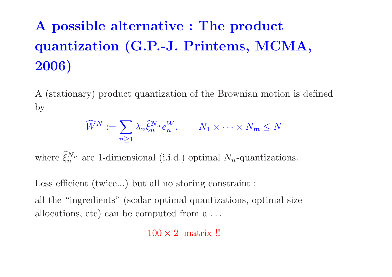# **A possible alternative : The product quantization (G.P.-J. Printems, MCMA, 2006)**

A (stationary) product quantization of the Brownian motion is defined by

$$
\widehat{W}^N := \sum_{n \ge 1} \lambda_n \widehat{\xi}_n^{N_n} e_n^W, \qquad N_1 \times \dots \times N_m \le N
$$

where  $\widehat{\xi}_n^{N_n}$  are 1-dimensional (i.i.d.) optimal  $N_n$ -quantizations.

Less efficient (twice...) but all no storing constraint :

all the "ingredients" (scalar optimal quantizations, optimal size allocations, etc) can be computed from <sup>a</sup> *...*

 $100 \times 2$  matrix !!